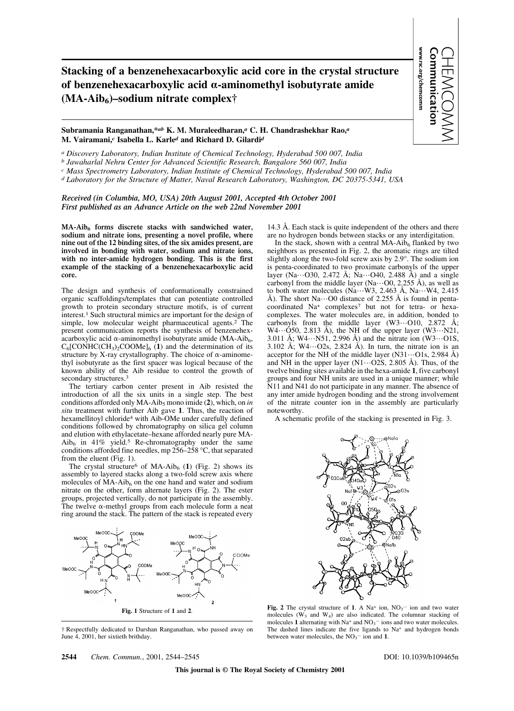**Stacking of a benzenehexacarboxylic acid core in the crystal structure of benzenehexacarboxylic acid** a**-aminomethyl isobutyrate amide (MA-Aib6)–sodium nitrate complex†**

## www.rsc.org/chemcomm Communication CHEMCOMM

www.rsc.org/chemcomm

## **Subramania Ranganathan,\****ab* **K. M. Muraleedharan,***<sup>a</sup>* **C. H. Chandrashekhar Rao,***<sup>a</sup>* **M. Vairamani,***<sup>c</sup>* **Isabella L. Karle***<sup>d</sup>* **and Richard D. Gilardi***<sup>d</sup>*

*a Discovery Laboratory, Indian Institute of Chemical Technology, Hyderabad 500 007, India*

*b Jawaharlal Nehru Center for Advanced Scientific Research, Bangalore 560 007, India*

*c Mass Spectrometry Laboratory, Indian Institute of Chemical Technology, Hyderabad 500 007, India*

*d Laboratory for the Structure of Matter, Naval Research Laboratory, Washington, DC 20375-5341, USA*

*Received (in Columbia, MO, USA) 20th August 2001, Accepted 4th October 2001 First published as an Advance Article on the web 22nd November 2001*

**MA-Aib<sup>6</sup> forms discrete stacks with sandwiched water, sodium and nitrate ions, presenting a novel profile, where nine out of the 12 binding sites, of the six amides present, are involved in bonding with water, sodium and nitrate ions, with no inter-amide hydrogen bonding. This is the first example of the stacking of a benzenehexacarboxylic acid core.**

The design and synthesis of conformationally constrained organic scaffoldings/templates that can potentiate controlled growth to protein secondary structure motifs, is of current interest.1 Such structural mimics are important for the design of simple, low molecular weight pharmaceutical agents.2 The present communication reports the synthesis of benzenehexacarboxylic acid  $\alpha$ -aminomethyl isobutyrate amide (MA-Aib<sub>6</sub>,  $C_6$ [CONHC(CH<sub>3</sub>)<sub>2</sub>COOMe]<sub>6</sub> (1) and the determination of its structure by X-ray crystallography. The choice of  $\alpha$ -aminomethyl isobutyrate as the first spacer was logical because of the known ability of the Aib residue to control the growth of secondary structures.<sup>3</sup>

The tertiary carbon center present in Aib resisted the introduction of all the six units in a single step. The best conditions afforded only MA-Aib<sup>5</sup> mono imide (**2**), which, on *in situ* treatment with further Aib gave **1**. Thus, the reaction of hexamellitoyl chloride4 with Aib-OMe under carefully defined conditions followed by chromatography on silica gel column and elution with ethylacetate–hexane afforded nearly pure MA- $\mathrm{Aib}_6$  in 41% yield.<sup>5</sup> Re-chromatography under the same conditions afforded fine needles, mp 256–258 °C, that separated from the eluent (Fig. 1).

The crystal structure<sup>6</sup> of MA-Aib<sub>6</sub> (1) (Fig. 2) shows its assembly to layered stacks along a two-fold screw axis where molecules of  $MA-Aib<sub>6</sub>$  on the one hand and water and sodium nitrate on the other, form alternate layers (Fig. 2). The ester groups, projected vertically, do not participate in the assembly. The twelve  $\alpha$ -methyl groups from each molecule form a neat ring around the stack. The pattern of the stack is repeated every



† Respectfully dedicated to Darshan Ranganathan, who passed away on June 4, 2001, her sixtieth brithday.

14.3 Å. Each stack is quite independent of the others and there are no hydrogen bonds between stacks or any interdigitation.

In the stack, shown with a central  $MA-Aib<sub>6</sub>$  flanked by two neighbors as presented in Fig. 2, the aromatic rings are tilted slightly along the two-fold screw axis by 2.9°. The sodium ion is penta-coordinated to two proximate carbonyls of the upper layer (Na…O30, 2.472 Å; Na…O40, 2.488 Å) and a single carbonyl from the middle layer (Na…O0, 2.255 Å), as well as to both water molecules  $(Na...W3, 2.463 \text{ Å}, Na...W4, 2.415)$ Å). The short  $\text{Na}\cdots$  O0 distance of 2.255 Å is found in pentacoordinated Na+ complexes7 but not for tetra- or hexacomplexes. The water molecules are, in addition, bonded to carbonyls from the middle layer  $(W3...O10, 2.872 \text{ Å};$ W4…O50, 2.813 Å), the NH of the upper layer  $(W3...N21$ , 3.011 Å; W4…N51, 2.996 Å) and the nitrate ion  $(W3...O1S)$ , 3.102 Å;  $W4\cdots$ O2s, 2.824 Å). In turn, the nitrate ion is an acceptor for the NH of the middle layer  $(N31...O1s, 2.984 \text{ Å})$ and NH in the upper layer (N1…O2S, 2.805 Å). Thus, of the twelve binding sites available in the hexa-amide **1**, five carbonyl groups and four NH units are used in a unique manner; while N11 and N41 do not participate in any manner. The absence of any inter amide hydrogen bonding and the strong involvement of the nitrate counter ion in the assembly are particularly noteworthy.

A schematic profile of the stacking is presented in Fig. 3.



Fig. 2 The crystal structure of 1. A Na<sup>+</sup> ion,  $NO<sub>3</sub>$ <sup>-</sup> ion and two water molecules  $(W_3$  and  $W_4$ ) are also indicated. The columnar stacking of molecules 1 alternating with Na<sup>+</sup> and NO<sub>3</sub><sup> $-$ </sup> ions and two water molecules. The dashed lines indicate the five ligands to  $Na<sup>+</sup>$  and hydrogen bonds between water molecules, the  $NO<sub>3</sub><sup>-</sup>$  ion and 1.